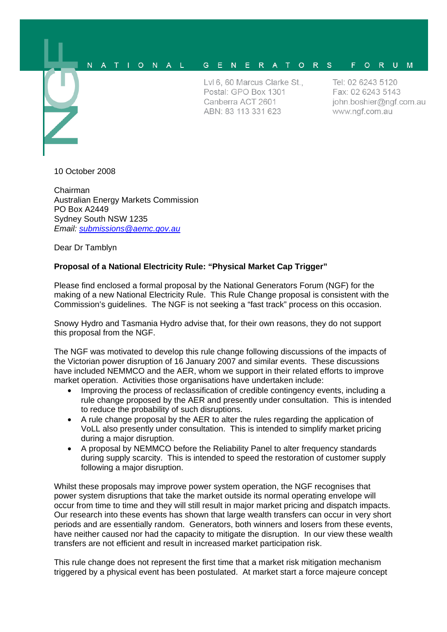## $\overline{N}$  $A$   $T$   $I$ ONAL G E N E R A T O R S F O R U M

Lyl 6, 60 Marcus Clarke St., Postal: GPO Box 1301 Canberra ACT 2601 ABN: 83 113 331 623

Tel: 02 6243 5120 Fax: 02 6243 5143 john.boshier@ngf.com.au www.ngf.com.au

10 October 2008

Chairman Australian Energy Markets Commission PO Box A2449 Sydney South NSW 1235 *Email: submissions@aemc.gov.au*

Dear Dr Tamblyn

## **Proposal of a National Electricity Rule: "Physical Market Cap Trigger"**

Please find enclosed a formal proposal by the National Generators Forum (NGF) for the making of a new National Electricity Rule. This Rule Change proposal is consistent with the Commission's guidelines. The NGF is not seeking a "fast track" process on this occasion.

Snowy Hydro and Tasmania Hydro advise that, for their own reasons, they do not support this proposal from the NGF.

The NGF was motivated to develop this rule change following discussions of the impacts of the Victorian power disruption of 16 January 2007 and similar events. These discussions have included NEMMCO and the AER, whom we support in their related efforts to improve market operation. Activities those organisations have undertaken include:

- Improving the process of reclassification of credible contingency events, including a rule change proposed by the AER and presently under consultation. This is intended to reduce the probability of such disruptions.
- A rule change proposal by the AER to alter the rules regarding the application of VoLL also presently under consultation. This is intended to simplify market pricing during a major disruption.
- A proposal by NEMMCO before the Reliability Panel to alter frequency standards during supply scarcity. This is intended to speed the restoration of customer supply following a major disruption.

Whilst these proposals may improve power system operation, the NGF recognises that power system disruptions that take the market outside its normal operating envelope will occur from time to time and they will still result in major market pricing and dispatch impacts. Our research into these events has shown that large wealth transfers can occur in very short periods and are essentially random. Generators, both winners and losers from these events, have neither caused nor had the capacity to mitigate the disruption. In our view these wealth transfers are not efficient and result in increased market participation risk.

This rule change does not represent the first time that a market risk mitigation mechanism triggered by a physical event has been postulated. At market start a force majeure concept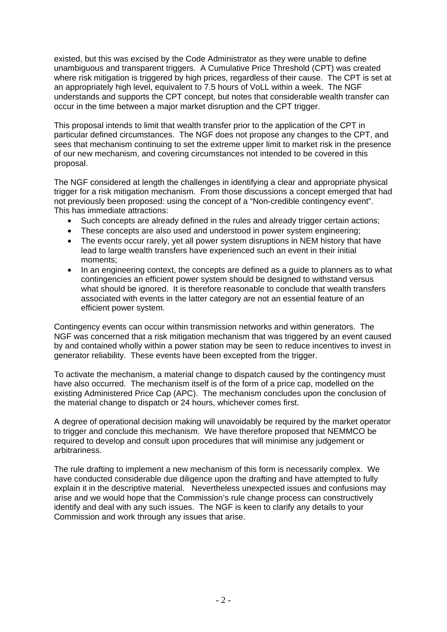existed, but this was excised by the Code Administrator as they were unable to define unambiguous and transparent triggers. A Cumulative Price Threshold (CPT) was created where risk mitigation is triggered by high prices, regardless of their cause. The CPT is set at an appropriately high level, equivalent to 7.5 hours of VoLL within a week. The NGF understands and supports the CPT concept, but notes that considerable wealth transfer can occur in the time between a major market disruption and the CPT trigger.

This proposal intends to limit that wealth transfer prior to the application of the CPT in particular defined circumstances. The NGF does not propose any changes to the CPT, and sees that mechanism continuing to set the extreme upper limit to market risk in the presence of our new mechanism, and covering circumstances not intended to be covered in this proposal.

The NGF considered at length the challenges in identifying a clear and appropriate physical trigger for a risk mitigation mechanism. From those discussions a concept emerged that had not previously been proposed: using the concept of a "Non-credible contingency event". This has immediate attractions:

- Such concepts are already defined in the rules and already trigger certain actions:
- These concepts are also used and understood in power system engineering:
- The events occur rarely, yet all power system disruptions in NEM history that have lead to large wealth transfers have experienced such an event in their initial moments;
- In an engineering context, the concepts are defined as a guide to planners as to what contingencies an efficient power system should be designed to withstand versus what should be ignored. It is therefore reasonable to conclude that wealth transfers associated with events in the latter category are not an essential feature of an efficient power system.

Contingency events can occur within transmission networks and within generators. The NGF was concerned that a risk mitigation mechanism that was triggered by an event caused by and contained wholly within a power station may be seen to reduce incentives to invest in generator reliability. These events have been excepted from the trigger.

To activate the mechanism, a material change to dispatch caused by the contingency must have also occurred. The mechanism itself is of the form of a price cap, modelled on the existing Administered Price Cap (APC). The mechanism concludes upon the conclusion of the material change to dispatch or 24 hours, whichever comes first.

A degree of operational decision making will unavoidably be required by the market operator to trigger and conclude this mechanism. We have therefore proposed that NEMMCO be required to develop and consult upon procedures that will minimise any judgement or arbitrariness.

The rule drafting to implement a new mechanism of this form is necessarily complex. We have conducted considerable due diligence upon the drafting and have attempted to fully explain it in the descriptive material. Nevertheless unexpected issues and confusions may arise and we would hope that the Commission's rule change process can constructively identify and deal with any such issues. The NGF is keen to clarify any details to your Commission and work through any issues that arise.